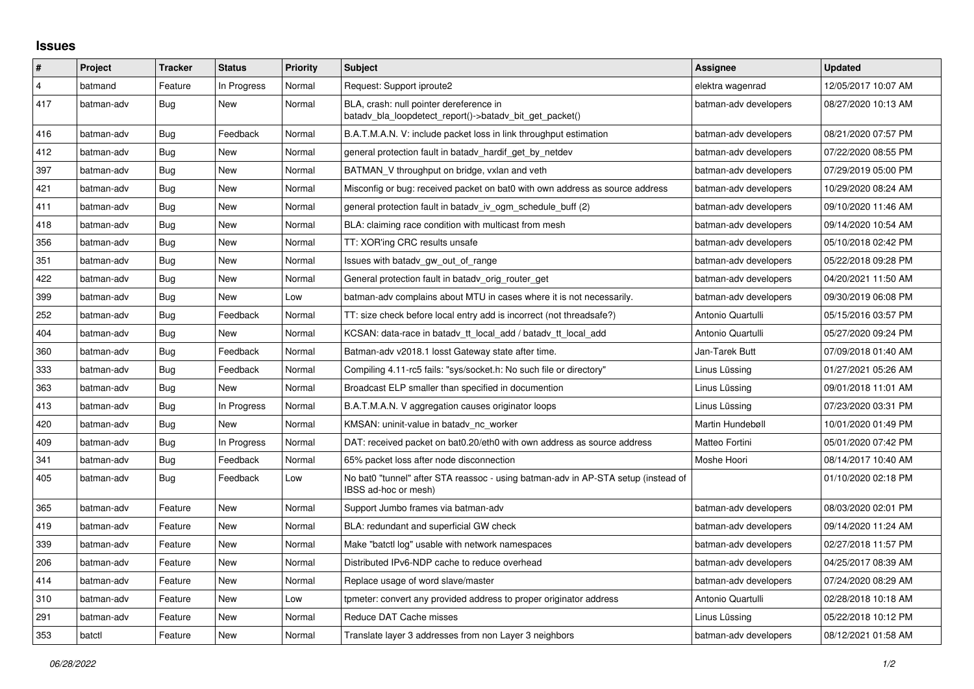## **Issues**

| #              | Project    | <b>Tracker</b> | <b>Status</b> | <b>Priority</b> | <b>Subject</b>                                                                                            | <b>Assignee</b>       | <b>Updated</b>      |
|----------------|------------|----------------|---------------|-----------------|-----------------------------------------------------------------------------------------------------------|-----------------------|---------------------|
| $\overline{4}$ | batmand    | Feature        | In Progress   | Normal          | Request: Support iproute2                                                                                 | elektra wagenrad      | 12/05/2017 10:07 AM |
| 417            | batman-adv | <b>Bug</b>     | New           | Normal          | BLA, crash: null pointer dereference in<br>batady bla loopdetect report()->batady bit get packet()        | batman-adv developers | 08/27/2020 10:13 AM |
| 416            | batman-adv | Bug            | Feedback      | Normal          | B.A.T.M.A.N. V: include packet loss in link throughput estimation                                         | batman-adv developers | 08/21/2020 07:57 PM |
| 412            | batman-adv | Bug            | New           | Normal          | general protection fault in batady_hardif_get_by_netdev                                                   | batman-adv developers | 07/22/2020 08:55 PM |
| 397            | batman-adv | Bug            | New           | Normal          | BATMAN V throughput on bridge, vxlan and veth                                                             | batman-adv developers | 07/29/2019 05:00 PM |
| 421            | batman-adv | Bug            | New           | Normal          | Misconfig or bug: received packet on bat0 with own address as source address                              | batman-adv developers | 10/29/2020 08:24 AM |
| 411            | batman-adv | Bug            | New           | Normal          | general protection fault in batady iv ogm schedule buff (2)                                               | batman-adv developers | 09/10/2020 11:46 AM |
| 418            | batman-adv | Bug            | New           | Normal          | BLA: claiming race condition with multicast from mesh                                                     | batman-adv developers | 09/14/2020 10:54 AM |
| 356            | batman-adv | Bug            | <b>New</b>    | Normal          | TT: XOR'ing CRC results unsafe                                                                            | batman-adv developers | 05/10/2018 02:42 PM |
| 351            | batman-adv | Bug            | New           | Normal          | Issues with batady gw out of range                                                                        | batman-adv developers | 05/22/2018 09:28 PM |
| 422            | batman-adv | Bug            | New           | Normal          | General protection fault in batady orig router get                                                        | batman-adv developers | 04/20/2021 11:50 AM |
| 399            | batman-adv | Bug            | <b>New</b>    | Low             | batman-adv complains about MTU in cases where it is not necessarily.                                      | batman-adv developers | 09/30/2019 06:08 PM |
| 252            | batman-adv | Bug            | Feedback      | Normal          | TT: size check before local entry add is incorrect (not threadsafe?)                                      | Antonio Quartulli     | 05/15/2016 03:57 PM |
| 404            | batman-adv | Bug            | New           | Normal          | KCSAN: data-race in batady_tt_local_add / batady_tt_local_add                                             | Antonio Quartulli     | 05/27/2020 09:24 PM |
| 360            | batman-adv | Bug            | Feedback      | Normal          | Batman-adv v2018.1 losst Gateway state after time.                                                        | Jan-Tarek Butt        | 07/09/2018 01:40 AM |
| 333            | batman-adv | Bug            | Feedback      | Normal          | Compiling 4.11-rc5 fails: "sys/socket.h: No such file or directory"                                       | Linus Lüssing         | 01/27/2021 05:26 AM |
| 363            | batman-adv | <b>Bug</b>     | New           | Normal          | Broadcast ELP smaller than specified in documention                                                       | Linus Lüssing         | 09/01/2018 11:01 AM |
| 413            | batman-adv | Bug            | In Progress   | Normal          | B.A.T.M.A.N. V aggregation causes originator loops                                                        | Linus Lüssing         | 07/23/2020 03:31 PM |
| 420            | batman-adv | Bug            | <b>New</b>    | Normal          | KMSAN: uninit-value in batady nc worker                                                                   | Martin Hundebøll      | 10/01/2020 01:49 PM |
| 409            | batman-adv | <b>Bug</b>     | In Progress   | Normal          | DAT: received packet on bat0.20/eth0 with own address as source address                                   | Matteo Fortini        | 05/01/2020 07:42 PM |
| 341            | batman-adv | Bug            | Feedback      | Normal          | 65% packet loss after node disconnection                                                                  | Moshe Hoori           | 08/14/2017 10:40 AM |
| 405            | batman-adv | Bug            | Feedback      | Low             | No bat0 "tunnel" after STA reassoc - using batman-adv in AP-STA setup (instead of<br>IBSS ad-hoc or mesh) |                       | 01/10/2020 02:18 PM |
| 365            | batman-adv | Feature        | New           | Normal          | Support Jumbo frames via batman-adv                                                                       | batman-adv developers | 08/03/2020 02:01 PM |
| 419            | batman-adv | Feature        | New           | Normal          | BLA: redundant and superficial GW check                                                                   | batman-adv developers | 09/14/2020 11:24 AM |
| 339            | batman-adv | Feature        | New           | Normal          | Make "batctl log" usable with network namespaces                                                          | batman-adv developers | 02/27/2018 11:57 PM |
| 206            | batman-adv | Feature        | New           | Normal          | Distributed IPv6-NDP cache to reduce overhead                                                             | batman-adv developers | 04/25/2017 08:39 AM |
| 414            | batman-adv | Feature        | <b>New</b>    | Normal          | Replace usage of word slave/master                                                                        | batman-adv developers | 07/24/2020 08:29 AM |
| 310            | batman-adv | Feature        | New           | Low             | tpmeter: convert any provided address to proper originator address                                        | Antonio Quartulli     | 02/28/2018 10:18 AM |
| 291            | batman-adv | Feature        | New           | Normal          | Reduce DAT Cache misses                                                                                   | Linus Lüssing         | 05/22/2018 10:12 PM |
| 353            | batctl     | Feature        | <b>New</b>    | Normal          | Translate layer 3 addresses from non Layer 3 neighbors                                                    | batman-adv developers | 08/12/2021 01:58 AM |